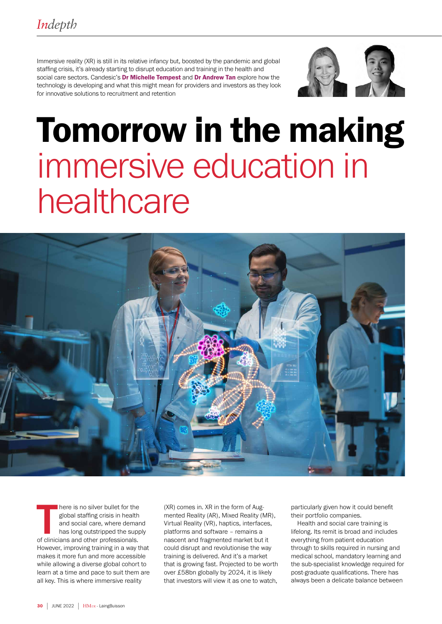Immersive reality (XR) is still in its relative infancy but, boosted by the pandemic and global staffing crisis, it's already starting to disrupt education and training in the health and social care sectors. Candesic's Dr Michelle Tempest and Dr Andrew Tan explore how the technology is developing and what this might mean for providers and investors as they look for innovative solutions to recruitment and retention



# Tomorrow in the making immersive education in healthcare



There is no silver bullet for the global staffing crisis in health<br>and social care, where deman<br>has long outstripped the supp<br>of clinicians and other professionals. here is no silver bullet for the global staffing crisis in health and social care, where demand has long outstripped the supply However, improving training in a way that makes it more fun and more accessible while allowing a diverse global cohort to learn at a time and pace to suit them are all key. This is where immersive reality

(XR) comes in. XR in the form of Augmented Reality (AR), Mixed Reality (MR), Virtual Reality (VR), haptics, interfaces, platforms and software – remains a nascent and fragmented market but it could disrupt and revolutionise the way training is delivered. And it's a market that is growing fast. Projected to be worth over £58bn globally by 2024, it is likely that investors will view it as one to watch,

particularly given how it could benefit their portfolio companies.

Health and social care training is lifelong. Its remit is broad and includes everything from patient education through to skills required in nursing and medical school, mandatory learning and the sub-specialist knowledge required for post-graduate qualifications. There has always been a delicate balance between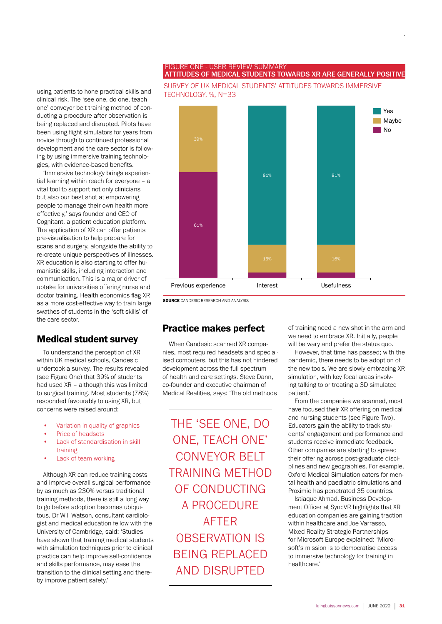#### FIGURE ONE - USER REVIEW SUMMARY ATTITUDES OF MEDICAL STUDENTS TOWARDS XR ARE GENERALLY POSITIVE

using patients to hone practical skills and clinical risk. The 'see one, do one, teach one' conveyor belt training method of conducting a procedure after observation is being replaced and disrupted. Pilots have been using flight simulators for years from novice through to continued professional development and the care sector is following by using immersive training technologies, with evidence-based benefits.

'Immersive technology brings experiential learning within reach for everyone – a vital tool to support not only clinicians but also our best shot at empowering people to manage their own health more effectively,' says founder and CEO of Cognitant, a patient education platform. The application of XR can offer patients pre-visualisation to help prepare for scans and surgery, alongside the ability to re-create unique perspectives of illnesses. XR education is also starting to offer humanistic skills, including interaction and communication. This is a major driver of uptake for universities offering nurse and doctor training. Health economics flag XR as a more cost-effective way to train large swathes of students in the 'soft skills' of the care sector.

#### Medical student survey

To understand the perception of XR within UK medical schools, Candesic undertook a survey. The results revealed (see Figure One) that 39% of students had used XR - although this was limited to surgical training. Most students (78%) responded favourably to using XR, but concerns were raised around:

- Variation in quality of graphics
- Price of headsets
- Lack of standardisation in skill training
- Lack of team working

Although XR can reduce training costs and improve overall surgical performance by as much as 230% versus traditional training methods, there is still a long way to go before adoption becomes ubiquitous. Dr Will Watson, consultant cardiologist and medical education fellow with the University of Cambridge, said: 'Studies have shown that training medical students with simulation techniques prior to clinical practice can help improve self-confidence and skills performance, may ease the transition to the clinical setting and thereby improve patient safety.'





SOURCE CANDESIC RESEARCH AND ANALYSIS

#### Practice makes perfect

When Candesic scanned XR companies, most required headsets and specialised computers, but this has not hindered development across the full spectrum of health and care settings. Steve Dann, co-founder and executive chairman of Medical Realities, says: 'The old methods

THE 'SEE ONE, DO ONE, TEACH ONE' CONVEYOR BELT TRAINING METHOD OF CONDUCTING A PROCEDURE AFTER OBSERVATION IS BEING REPLACED AND DISRUPTED

of training need a new shot in the arm and we need to embrace XR. Initially, people will be wary and prefer the status quo.

However, that time has passed; with the pandemic, there needs to be adoption of the new tools. We are slowly embracing XR simulation, with key focal areas involving talking to or treating a 3D simulated patient.'

From the companies we scanned, most have focused their XR offering on medical and nursing students (see Figure Two). Educators gain the ability to track students' engagement and performance and students receive immediate feedback. Other companies are starting to spread their offering across post-graduate disciplines and new geographies. For example, Oxford Medical Simulation caters for mental health and paediatric simulations and Proximie has penetrated 35 countries.

Istiaque Ahmad, Business Development Officer at SyncVR highlights that XR education companies are gaining traction within healthcare and Joe Varrasso, Mixed Reality Strategic Partnerships for Microsoft Europe explained: 'Microsoft's mission is to democratise access to immersive technology for training in healthcare.'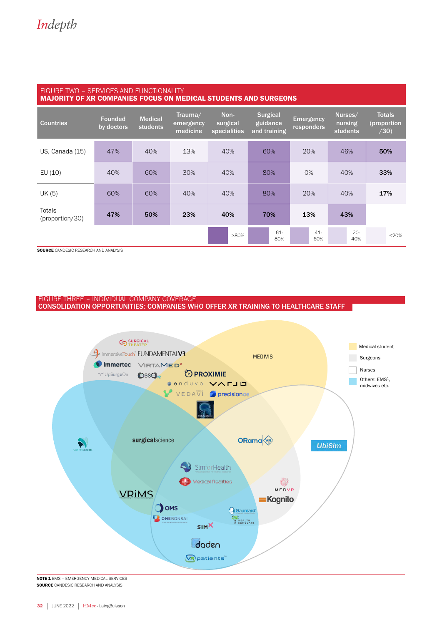| FIGURE TWO - SERVICES AND FUNCTIONALITY<br><b>MAJORITY OF XR COMPANIES FOCUS ON MEDICAL STUDENTS AND SURGEONS</b> |                              |                                   |                                  |                                  |                                             |                                |                                       |                                      |
|-------------------------------------------------------------------------------------------------------------------|------------------------------|-----------------------------------|----------------------------------|----------------------------------|---------------------------------------------|--------------------------------|---------------------------------------|--------------------------------------|
| <b>Countries</b>                                                                                                  | <b>Founded</b><br>by doctors | <b>Medical</b><br><b>students</b> | Trauma/<br>emergency<br>medicine | Non-<br>surgical<br>specialities | <b>Surgical</b><br>guidance<br>and training | <b>Emergency</b><br>responders | Nurses/<br>nursing<br><b>students</b> | <b>Totals</b><br>(proportion<br>/30) |
| US, Canada (15)                                                                                                   | 47%                          | 40%                               | 13%                              | 40%                              | 60%                                         | 20%                            | 46%                                   | 50%                                  |
| EU $(10)$                                                                                                         | 40%                          | 60%                               | 30%                              | 40%                              | 80%                                         | O%                             | 40%                                   | 33%                                  |
| UK (5)                                                                                                            | 60%                          | 60%                               | 40%                              | 40%                              | 80%                                         | 20%                            | 40%                                   | 17%                                  |
| Totals<br>(proportion/30)                                                                                         | 47%                          | 50%                               | 23%                              | 40%                              | 70%                                         | 13%                            | 43%                                   |                                      |
|                                                                                                                   |                              |                                   |                                  | $>80\%$                          | 61-<br>80%                                  | $41 -$<br>60%                  | $20 -$<br>40%                         | <20%                                 |

**SOURCE** CANDESIC RESEARCH AND ANALYSIS

FIGURE THREE - INDIVIDUAL COMPANY COVERAGE CONSOLIDATION OPPORTUNITIES: COMPANIES WHO OFFER XR TRAINING TO HEALTHCARE STAFF



NOTE 1 EMS = EMERGENCY MEDICAL SERVICES **SOURCE** CANDESIC RESEARCH AND ANALYSIS